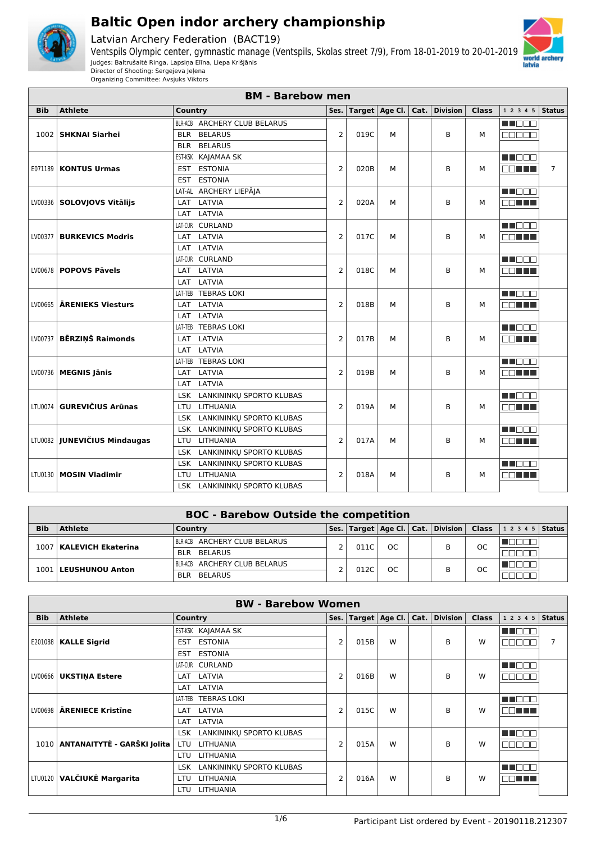

Latvian Archery Federation (BACT19)



Organizing Committee: Avsjuks Viktors

|            | <b>BM - Barebow men</b><br><b>Athlete</b><br>Target   Age Cl.   Cat.  <br><b>Division</b><br><b>Class</b><br>1 2 3 4 5 Status<br>Ses. |                                        |                |      |   |  |   |   |              |                |  |  |  |
|------------|---------------------------------------------------------------------------------------------------------------------------------------|----------------------------------------|----------------|------|---|--|---|---|--------------|----------------|--|--|--|
| <b>Bib</b> |                                                                                                                                       | Country                                |                |      |   |  |   |   |              |                |  |  |  |
|            |                                                                                                                                       | BLR-ACB ARCHERY CLUB BELARUS           |                |      |   |  |   |   | M NO O O     |                |  |  |  |
|            | 1002 SHKNAI Siarhei                                                                                                                   | <b>BELARUS</b><br><b>BLR</b>           | $\overline{2}$ | 019C | M |  | B | м | eeeee        |                |  |  |  |
|            |                                                                                                                                       | <b>BELARUS</b><br><b>BLR</b>           |                |      |   |  |   |   |              |                |  |  |  |
|            |                                                                                                                                       | EST-KSK KAJAMAA SK                     |                |      |   |  |   |   | M OO O       |                |  |  |  |
|            | <b>E071189   KONTUS Urmas</b>                                                                                                         | <b>ESTONIA</b><br><b>EST</b>           | $\overline{2}$ | 020B | М |  | B | м | MA ELE       | $\overline{7}$ |  |  |  |
|            |                                                                                                                                       | <b>ESTONIA</b><br><b>EST</b>           |                |      |   |  |   |   |              |                |  |  |  |
|            |                                                                                                                                       | ARCHERY LIEPĀJA<br>LAT-AL              |                |      |   |  |   |   | <b>REDEE</b> |                |  |  |  |
|            | LV00336   SOLOVJOVS Vitālijs                                                                                                          | LAT<br>LATVIA                          | $\overline{2}$ | 020A | M |  | B | м | MA TE        |                |  |  |  |
|            |                                                                                                                                       | LATVIA<br>LAT                          |                |      |   |  |   |   |              |                |  |  |  |
|            |                                                                                                                                       | LAT-CUR CURLAND                        |                |      |   |  |   |   | M NOOC       |                |  |  |  |
| LV00377    | <b>BURKEVICS Modris</b>                                                                                                               | LAT LATVIA                             | $\overline{2}$ | 017C | M |  | B | м | an nu s      |                |  |  |  |
|            |                                                                                                                                       | LAT LATVIA                             |                |      |   |  |   |   |              |                |  |  |  |
|            |                                                                                                                                       | LAT-CUR CURLAND                        |                |      |   |  |   |   | M HOOS       |                |  |  |  |
|            | LV00678   POPOVS Pāvels                                                                                                               | LAT LATVIA                             | $\overline{2}$ | 018C | M |  | B | м | OO TITLE     |                |  |  |  |
|            |                                                                                                                                       | LATVIA<br>LAT                          |                |      |   |  |   |   |              |                |  |  |  |
|            |                                                                                                                                       | LAT-TEB TEBRAS LOKI                    |                |      |   |  |   |   | M BEB        |                |  |  |  |
|            | LV00665   ARENIEKS Viesturs                                                                                                           | LATVIA<br>LAT                          | $\overline{2}$ | 018B | M |  | B | м | mm nin       |                |  |  |  |
|            |                                                                                                                                       | LATVIA<br>LAT                          |                |      |   |  |   |   |              |                |  |  |  |
|            |                                                                                                                                       | LAT-TEB TEBRAS LOKI                    |                |      |   |  |   |   | MU DO O      |                |  |  |  |
| LV00737    | <b>BĒRZINŠ Raimonds</b>                                                                                                               | LAT LATVIA                             | $\overline{2}$ | 017B | M |  | B | м | MA TELE      |                |  |  |  |
|            |                                                                                                                                       | LATVIA<br><b>LAT</b>                   |                |      |   |  |   |   |              |                |  |  |  |
|            |                                                                                                                                       | LAT-TEB TEBRAS LOKI                    |                |      |   |  |   |   | N I DE S     |                |  |  |  |
|            | LV00736   MEGNIS Jānis                                                                                                                | LATVIA<br>LAT                          | $\overline{2}$ | 019B | М |  | B | м | 88 E E       |                |  |  |  |
|            |                                                                                                                                       | LATVIA<br>LAT                          |                |      |   |  |   |   |              |                |  |  |  |
|            |                                                                                                                                       | LANKININKŲ SPORTO KLUBAS<br>LSK        |                |      |   |  |   |   | MA BER       |                |  |  |  |
|            | LTU0074 GUREVIČIUS Arūnas                                                                                                             | <b>LITHUANIA</b><br><b>LTU</b>         | $\overline{2}$ | 019A | M |  | B | м | ma mats      |                |  |  |  |
|            |                                                                                                                                       | LANKININKŲ SPORTO KLUBAS<br><b>LSK</b> |                |      |   |  |   |   |              |                |  |  |  |
|            |                                                                                                                                       | <b>LSK</b><br>LANKININKU SPORTO KLUBAS |                |      |   |  |   |   | <b>MACCO</b> |                |  |  |  |
|            | LTU0082 <b>JUNEVIČIUS Mindaugas</b>                                                                                                   | <b>LITHUANIA</b><br>LTU                | $\overline{2}$ | 017A | M |  | B | м | mm nin       |                |  |  |  |
|            |                                                                                                                                       | LANKININKU SPORTO KLUBAS<br><b>LSK</b> |                |      |   |  |   |   |              |                |  |  |  |
|            |                                                                                                                                       | LANKININKU SPORTO KLUBAS<br>LSK        |                |      |   |  |   |   | M NO O O     |                |  |  |  |
|            | LTU0130   MOSIN Vladimir                                                                                                              | LITHUANIA<br><b>LTU</b>                | $\overline{2}$ | 018A | M |  | B | м | nn i Li      |                |  |  |  |
|            |                                                                                                                                       | LSK LANKININKŲ SPORTO KLUBAS           |                |      |   |  |   |   |              |                |  |  |  |

|            | <b>BOC - Barebow Outside the competition</b> |                              |      |      |               |  |                                            |           |                    |  |
|------------|----------------------------------------------|------------------------------|------|------|---------------|--|--------------------------------------------|-----------|--------------------|--|
| <b>Bib</b> | <b>Athlete</b>                               | Country                      | Ses. |      |               |  | Target   Age Cl.   Cat.   Division   Class |           | 1 2 3 4 5   Status |  |
| 1007       | KALEVICH Ekaterina                           | BLR-ACB ARCHERY CLUB BELARUS |      | 011C | <sub>OC</sub> |  |                                            | <b>OC</b> |                    |  |
|            |                                              | BELARUS<br><b>BLR</b>        |      |      |               |  |                                            |           |                    |  |
|            |                                              | BLR-ACB ARCHERY CLUB BELARUS |      |      |               |  |                                            | OC        |                    |  |
|            | 1001   LEUSHUNOU Anton                       | <b>BELARUS</b><br><b>BIR</b> |      | 012C | OC            |  |                                            |           |                    |  |

|            | <b>BW - Barebow Women</b>   |                                        |                |      |                        |      |                 |              |              |               |  |
|------------|-----------------------------|----------------------------------------|----------------|------|------------------------|------|-----------------|--------------|--------------|---------------|--|
| <b>Bib</b> | <b>Athlete</b>              | Country                                | Ses.           |      | Target $ $ Age Cl. $ $ | Cat. | <b>Division</b> | <b>Class</b> | 1 2 3 4 5    | <b>Status</b> |  |
|            |                             | EST-KSK KAJAMAA SK                     |                |      |                        |      |                 |              | M BER        |               |  |
| E201088    | <b>KALLE Sigrid</b>         | <b>ESTONIA</b><br><b>EST</b>           | $\overline{2}$ | 015B | W                      |      | B               | W            | 100 C        |               |  |
|            |                             | <b>ESTONIA</b><br><b>EST</b>           |                |      |                        |      |                 |              |              |               |  |
|            |                             | LAT-CUR CURLAND                        |                |      |                        |      |                 |              | MI O O O     |               |  |
| LV00666    | <b>UKSTINA Estere</b>       | LATVIA<br><b>LAT</b>                   | $\overline{2}$ | 016B | W                      |      | B               | W            | 700 D.D      |               |  |
|            |                             | LATVIA<br>LAT                          |                |      |                        |      |                 |              |              |               |  |
|            | <b>ARENIECE Kristine</b>    | <b>TEBRAS LOKI</b><br>LAT-TEB          |                |      |                        |      |                 |              | UU DEL       |               |  |
| LV00698    |                             | LAT LATVIA                             | 2              | 015C | W                      |      | B               | W            | N TILLI      |               |  |
|            |                             | LAT LATVIA                             |                |      |                        |      |                 |              |              |               |  |
|            |                             | LANKININKU SPORTO KLUBAS<br><b>LSK</b> |                |      |                        |      |                 |              | n na man     |               |  |
| 1010       | ANTANAITYTĖ - GARŠKI Jolita | <b>LTU</b><br>LITHUANIA                | $\overline{2}$ | 015A | W                      |      | B               | W            | 100 O C      |               |  |
|            |                             | <b>LITHUANIA</b><br>LTU                |                |      |                        |      |                 |              |              |               |  |
| LTU0120    |                             | LANKININKŲ SPORTO KLUBAS<br>LSK        |                |      |                        |      |                 |              | <b>HENDR</b> |               |  |
|            | VALČIUKĖ Margarita          | <b>LITHUANIA</b><br>LTU                | $\overline{2}$ | 016A | W                      | B    |                 | W            |              |               |  |
|            |                             | <b>LITHUANIA</b><br>LTU                |                |      |                        |      |                 |              |              |               |  |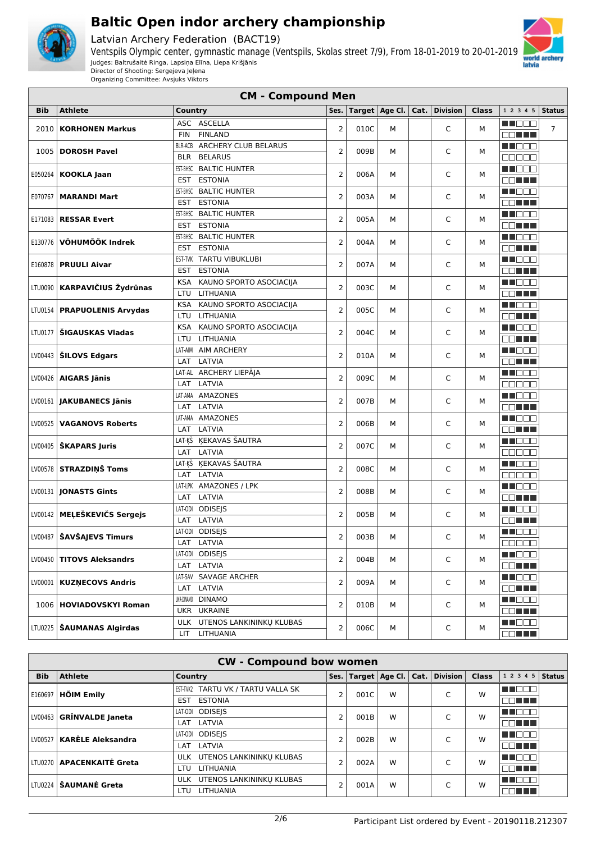

Latvian Archery Federation (BACT19)



Organizing Committee: Avsjuks Viktors

|            |                               | <b>CM - Compound Men</b>              |                |      |                  |      |                 |              |                                                                                                                                                                                                                                      |                |
|------------|-------------------------------|---------------------------------------|----------------|------|------------------|------|-----------------|--------------|--------------------------------------------------------------------------------------------------------------------------------------------------------------------------------------------------------------------------------------|----------------|
| <b>Bib</b> | <b>Athlete</b>                | Country                               | Ses.           |      | Target   Age Cl. | Cat. | <b>Division</b> | <b>Class</b> | 1 2 3 4 5                                                                                                                                                                                                                            | <b>Status</b>  |
|            | 2010   KORHONEN Markus        | ASC ASCELLA                           | $\overline{2}$ | 010C |                  |      | C               |              | MI EEE                                                                                                                                                                                                                               | $\overline{7}$ |
|            |                               | <b>FIN</b><br><b>FINLAND</b>          |                |      | М                |      |                 | м            | E BELLE                                                                                                                                                                                                                              |                |
| 1005       |                               | ARCHERY CLUB BELARUS<br>BLR-ACB       | 2              | 009B | м                |      | C               | М            | M NO O O                                                                                                                                                                                                                             |                |
|            | <b>DOROSH Pavel</b>           | <b>BELARUS</b><br><b>BLR</b>          |                |      |                  |      |                 |              | 00000                                                                                                                                                                                                                                |                |
|            |                               | EST-BHSC BALTIC HUNTER                | 2              | 006A | М                |      | C               | м            | Ma Bas                                                                                                                                                                                                                               |                |
| E050264    | <b>KOOKLA Jaan</b>            | <b>ESTONIA</b><br><b>EST</b>          |                |      |                  |      |                 |              | <b>OO HEL</b>                                                                                                                                                                                                                        |                |
| E070767    | <b>MARANDI Mart</b>           | EST-BHSC BALTIC HUNTER                | 2              | 003A | м                |      | C               | м            | M DE O                                                                                                                                                                                                                               |                |
|            |                               | <b>ESTONIA</b><br><b>EST</b>          |                |      |                  |      |                 |              | 88 H H                                                                                                                                                                                                                               |                |
|            | <b>RESSAR Evert</b>           | EST-BHSC BALTIC HUNTER                | 2              | 005A | м                |      | C               | м            | M TOO B                                                                                                                                                                                                                              |                |
| E171083    |                               | EST ESTONIA                           |                |      |                  |      |                 |              | OO TITLE                                                                                                                                                                                                                             |                |
| E130776    | VÕHUMÕÕK Indrek               | EST-BHSC BALTIC HUNTER                | 2              | 004A | м                |      | C               | м            | MN 888                                                                                                                                                                                                                               |                |
|            |                               | <b>ESTONIA</b><br><b>EST</b>          |                |      |                  |      |                 |              | 88 H H                                                                                                                                                                                                                               |                |
|            | <b>PRUULI Aivar</b>           | EST-TVK TARTU VIBUKLUBI               | 2              | 007A | М                |      | C               | М            | M TOO O                                                                                                                                                                                                                              |                |
| E160878    |                               | <b>ESTONIA</b><br><b>EST</b>          |                |      |                  |      |                 |              | 88 N N N                                                                                                                                                                                                                             |                |
| LTU0090    | <b>KARPAVIČIUS Žydrūnas</b>   | KAUNO SPORTO ASOCIACIJA<br><b>KSA</b> | 2              | 003C | м                |      | C               | М            | <b>REGGO</b>                                                                                                                                                                                                                         |                |
|            |                               | LTU<br>LITHUANIA                      |                |      |                  |      |                 |              | <b>NATION</b>                                                                                                                                                                                                                        |                |
|            | LTU0154   PRAPUOLENIS Arvydas | <b>KSA</b><br>KAUNO SPORTO ASOCIACIJA | $\overline{2}$ | 005C | М                |      | C               | М            | MN 888                                                                                                                                                                                                                               |                |
|            |                               | LTU<br><b>LITHUANIA</b>               |                |      |                  |      |                 |              | 88 N N N                                                                                                                                                                                                                             |                |
| LTU0177    | ŠIGAUSKAS Vladas              | KAUNO SPORTO ASOCIACIJA<br><b>KSA</b> | $\overline{2}$ | 004C | м                |      | C               | М            | M NO O O                                                                                                                                                                                                                             |                |
|            |                               | LITHUANIA<br>LTU                      |                |      |                  |      |                 |              | 88 H H                                                                                                                                                                                                                               |                |
|            |                               | LAT-AIM AIM ARCHERY                   | $\overline{2}$ | 010A | м                |      | C               | м            | <b>RECOD</b>                                                                                                                                                                                                                         |                |
|            | $LV00443$   SILOVS Edgars     | LATVIA<br>LAT                         |                |      |                  |      |                 |              | OO HEE                                                                                                                                                                                                                               |                |
|            | $LV00426$   AIGARS Jānis      | LAT-AL ARCHERY LIEPĀJA                | 2              | 009C | М                |      | C               | м            | MN 888                                                                                                                                                                                                                               |                |
|            |                               | LATVIA<br>LAT                         |                |      |                  |      |                 |              | <b>00000</b>                                                                                                                                                                                                                         |                |
|            | LV00161   JAKUBANECS Jānis    | LAT-AMA AMAZONES                      | 2              | 007B | м                |      | C               | м            | THEED                                                                                                                                                                                                                                |                |
|            |                               | LATVIA<br>LAT                         |                |      |                  |      |                 |              | <b>ODE EN</b>                                                                                                                                                                                                                        |                |
| LV00525    | <b>VAGANOVS Roberts</b>       | LAT-AMA AMAZONES                      | 2              | 006B | м                |      | C               | м            | MU DO O                                                                                                                                                                                                                              |                |
|            |                               | LAT LATVIA                            |                |      |                  |      |                 |              | OO HA                                                                                                                                                                                                                                |                |
|            | $LV00405$   SKAPARS Juris     | LAT-ĶŠ ĶEKAVAS ŠAUTRA                 | 2              | 007C | М                |      | C               | М            | M NOCI                                                                                                                                                                                                                               |                |
|            |                               | LATVIA<br>LAT                         |                |      |                  |      |                 |              | Maaaa                                                                                                                                                                                                                                |                |
|            | LV00578 STRAZDIŅŠ Toms        | LAT-KŠ KEKAVAS ŠAUTRA                 | 2              | 008C | М                |      | C               | М            | MU DO O                                                                                                                                                                                                                              |                |
|            |                               | LATVIA<br>LAT                         |                |      |                  |      |                 |              | <b>BBBBB</b>                                                                                                                                                                                                                         |                |
|            | LV00131   JONASTS Gints       | LAT-LPK AMAZONES / LPK                | 2              | 008B | М                |      | C               | м            | <b>NH</b> OOO                                                                                                                                                                                                                        |                |
|            |                               | LATVIA<br>LAT                         |                |      |                  |      |                 |              | 88 <b>88 88</b>                                                                                                                                                                                                                      |                |
|            | LV00142   MELEŠKEVIČS Sergejs | LAT-0DI ODISEJS                       | $\overline{2}$ | 005B | М                |      | C               | М            | MU DO O                                                                                                                                                                                                                              |                |
|            |                               | LATVIA<br>LAT                         |                |      |                  |      |                 |              | nn an L                                                                                                                                                                                                                              |                |
|            | LV00487   ŠAVŠAJEVS Timurs    | LAT-ODI ODISEIS                       | $\overline{2}$ | 003B | м                |      | C               | М            | <u>Li i Biblio Biblio Biblio Biblio Biblio Biblio Biblio Biblio Biblio Biblio Biblio Biblio Biblio Biblio Biblio Biblio Biblio Biblio Biblio Biblio Biblio Biblio Biblio Biblio Biblio Biblio Biblio Biblio Biblio Biblio Biblio</u> |                |
|            |                               | LAT LATVIA                            |                |      |                  |      |                 |              |                                                                                                                                                                                                                                      |                |
|            | LV00450   TITOVS Aleksandrs   | LAT-ODI ODISEJS                       | 2              | 004B | м                |      | C               | м            | <b>RECODE</b>                                                                                                                                                                                                                        |                |
|            |                               | LAT LATVIA                            |                |      |                  |      |                 |              | 80 H H H                                                                                                                                                                                                                             |                |
|            | LV00001   KUZNECOVS Andris    | LAT-SAV SAVAGE ARCHER                 | 2              | 009A | м                |      | C               | м            | M DE S                                                                                                                                                                                                                               |                |
|            |                               | LAT LATVIA                            |                |      |                  |      |                 |              | <b>DDDDD</b>                                                                                                                                                                                                                         |                |
|            | 1006   HOVIADOVSKYI Roman     | UKR-DINAMO DINAMO                     | 2              | 010B | м                |      | C               | м            | <b>RECOD</b>                                                                                                                                                                                                                         |                |
|            |                               | UKR UKRAINE                           |                |      |                  |      |                 |              | <b>OONER</b>                                                                                                                                                                                                                         |                |
|            | LTU0225   ŠAUMANAS Algirdas   | ULK UTENOS LANKININKŲ KLUBAS          | 2              | 006C | м                |      | C               | м            | M DE S                                                                                                                                                                                                                               |                |
|            |                               | LIT.<br>LITHUANIA                     |                |      |                  |      |                 |              | E E FIFIT                                                                                                                                                                                                                            |                |

| <b>CW - Compound bow women</b> |                                  |                                       |                |           |   |  |                                    |              |                    |  |
|--------------------------------|----------------------------------|---------------------------------------|----------------|-----------|---|--|------------------------------------|--------------|--------------------|--|
| <b>Bib</b>                     | <b>Athlete</b>                   | Country                               | Ses.           |           |   |  | Target   Age Cl.   Cat.   Division | <b>Class</b> | 1 2 3 4 5   Status |  |
| E160697                        | <b>HÕIM Emily</b>                | TARTU VK / TARTU VALLA SK<br>EST-TVK2 | 2              | 001C      | W |  | C                                  | W            | MN 888             |  |
|                                |                                  | <b>ESTONIA</b><br><b>EST</b>          |                |           |   |  |                                    |              | MA HILLI           |  |
| LV00463                        | <b>GRĪNVALDE Janeta</b>          | <b>ODISEIS</b><br>LAT-ODI             | 2              | 001B      | W |  | $\overline{ }$                     | W            | MN 888             |  |
|                                |                                  | LAT LATVIA                            |                |           |   |  |                                    |              | ON HELL            |  |
| LV00527                        | <b>KARĒLE Aleksandra</b>         | <b>ODISEIS</b><br>LAT-ODI             | 2              |           | W |  | $\overline{ }$                     | W            | M NO BIG           |  |
|                                |                                  | LATVIA<br>LAT                         |                | 002B      |   |  |                                    |              | ک کا کا ک          |  |
|                                | LTU0270 <b>APACENKAITĖ Greta</b> | ULK UTENOS LANKININKU KLUBAS          | $\overline{2}$ |           | W |  | $\sqrt{2}$                         | W            | MN DE S            |  |
|                                |                                  | <b>LITHUANIA</b><br>LTU               |                | 002A      |   |  |                                    |              | . TE E E           |  |
| LTU0224                        |                                  | ULK UTENOS LANKININKU KLUBAS          |                | 2<br>001A |   |  | $\sqrt{2}$                         | W            | M NO BIG           |  |
|                                | ŠAUMANĖ Greta                    | LITHUANIA<br>LTU                      |                |           | W |  |                                    |              | 70 O O O           |  |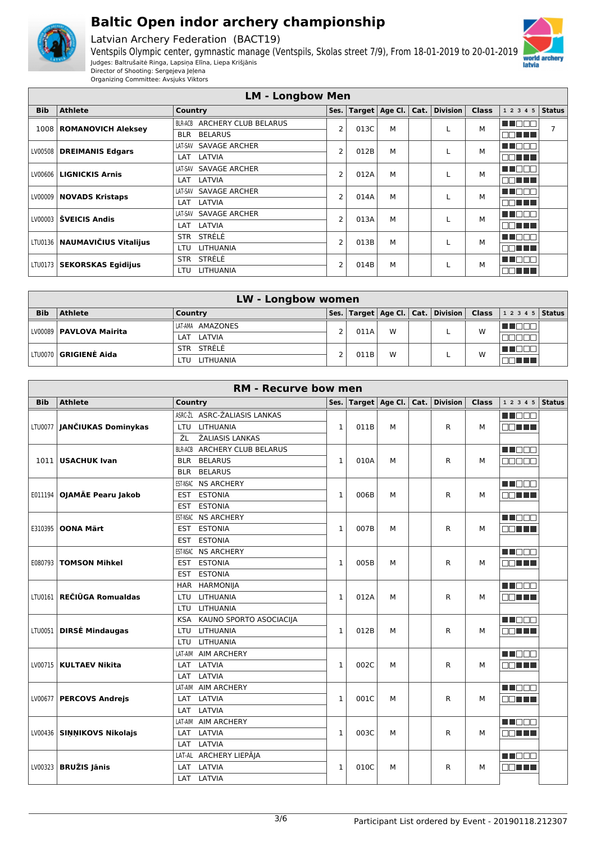

Latvian Archery Federation (BACT19)

Ventspils Olympic center, gymnastic manage (Ventspils, Skolas street 7/9), From 18-01-2019 to 20-01-2019 Judges: Baltrušaitė Ringa, Lapsiņa Elīna, Liepa Krišjānis Director of Shooting: Sergejeva Jeļena



Organizing Committee: Avsjuks Viktors

|            | <b>LM - Longbow Men</b>         |                                        |                |      |                                 |   |          |              |                 |  |  |
|------------|---------------------------------|----------------------------------------|----------------|------|---------------------------------|---|----------|--------------|-----------------|--|--|
| <b>Bib</b> | <b>Athlete</b>                  | Country                                | Ses.           |      | Target $ $ Age Cl. $ $ Cat. $ $ |   | Division | <b>Class</b> | $12345$ Status  |  |  |
| 1008       | <b>ROMANOVICH Aleksey</b>       | <b>ARCHERY CLUB BELARUS</b><br>BLR-ACB | $\overline{2}$ | 013C | M                               |   |          | М            | ma mat          |  |  |
|            |                                 | <b>BELARUS</b><br><b>BLR</b>           |                |      |                                 |   |          |              | MA HELL         |  |  |
| LV00508    | <b>DREIMANIS Edgars</b>         | <b>SAVAGE ARCHER</b><br>LAT-SAV        | $\overline{2}$ | 012B | М                               |   |          | М            | u mana          |  |  |
|            |                                 | LATVIA<br>LAT                          |                |      |                                 |   |          |              | man ma          |  |  |
|            | LV00606   LIGNICKIS Arnis       | <b>SAVAGE ARCHER</b><br>LAT-SAV        | $\overline{2}$ | 012A | M                               |   |          | М            | TI NOT          |  |  |
|            |                                 | LATVIA<br>LAT                          |                |      |                                 |   |          |              | <b>NOTE E</b>   |  |  |
| LV00009    | <b>NOVADS Kristaps</b>          | <b>SAVAGE ARCHER</b><br>LAT-SAV        | $\overline{2}$ | 014A | М                               |   |          | M            | TEER            |  |  |
|            |                                 | LATVIA<br>LAT                          |                |      |                                 |   |          |              | NN HEI          |  |  |
| LV00003    | ŠVEICIS Andis                   | LAT-SAV SAVAGE ARCHER                  | $\overline{2}$ | 013A | M                               |   |          | M            | <b>TEER</b>     |  |  |
|            |                                 | LATVIA<br>LAT                          |                |      |                                 |   |          |              | <b>FIFTE EL</b> |  |  |
|            | LTU0136   NAUMAVIČIUS Vitalijus | STRÈLÈ<br><b>STR</b>                   | $\overline{2}$ | 013B | M                               |   |          | M            | UN FIFIT        |  |  |
|            |                                 | LITHUANIA<br>LTU.                      |                |      |                                 |   |          |              | man ma          |  |  |
| LTU0173    | <b>SEKORSKAS Egidijus</b>       | STRÈLÈ<br><b>STR</b>                   |                |      | $\overline{2}$<br>014B          | M |          | М            | TIOON           |  |  |
|            |                                 | <b>LITHUANIA</b><br>LTU                |                |      |                                 |   |          |              | <b>NOTHER</b>   |  |  |

|            | <b>LW - Longbow women</b>      |                         |      |      |   |   |                                            |   |                     |  |  |
|------------|--------------------------------|-------------------------|------|------|---|---|--------------------------------------------|---|---------------------|--|--|
| <b>Bib</b> | <b>Athlete</b>                 | Country                 | Ses. |      |   |   | Target   Age Cl.   Cat.   Division   Class |   | $12345$ Status      |  |  |
|            | LV00089   PAVLOVA Mairita      | LAT-AMA AMAZONES        |      | 011A | W |   |                                            | W | <u> III wa kuto</u> |  |  |
|            |                                | LATVIA<br>LAT           |      |      |   |   |                                            |   |                     |  |  |
|            | LTU0070 <b>  GRIGIENĖ Aida</b> | STR STRELE              |      |      |   |   |                                            | W | HE LJUL             |  |  |
|            |                                | <b>LITHUANIA</b><br>LTU |      | 011B |   | W |                                            |   |                     |  |  |

|            | <b>RM - Recurve bow men</b><br>Ses. Target   Age Cl.   Cat.   Division |                                       |              |      |   |  |   |              |               |               |  |  |
|------------|------------------------------------------------------------------------|---------------------------------------|--------------|------|---|--|---|--------------|---------------|---------------|--|--|
| <b>Bib</b> | <b>Athlete</b>                                                         | Country                               |              |      |   |  |   | <b>Class</b> | 1 2 3 4 5     | <b>Status</b> |  |  |
|            |                                                                        | ASRC-ŽL ASRC-ŽALIASIS LANKAS          |              |      |   |  |   |              | M DOO         |               |  |  |
|            | LTU0077   JANČIUKAS Dominykas                                          | <b>LITHUANIA</b><br><b>LTU</b>        | 1            | 011B | м |  | R | М            | n na m        |               |  |  |
|            |                                                                        | ŽL<br>ŽALIASIS LANKAS                 |              |      |   |  |   |              |               |               |  |  |
|            |                                                                        | <b>BLR-ACB ARCHERY CLUB BELARUS</b>   |              |      |   |  |   |              | M DO S        |               |  |  |
|            | 1011 USACHUK Ivan                                                      | <b>BLR BELARUS</b>                    | $\mathbf{1}$ | 010A | м |  | R | М            | 00000         |               |  |  |
|            |                                                                        | <b>BLR BELARUS</b>                    |              |      |   |  |   |              |               |               |  |  |
|            |                                                                        | EST-NSAC NS ARCHERY                   |              |      |   |  |   |              | M DE S        |               |  |  |
|            | E011194   OJAMÄE Pearu Jakob                                           | <b>ESTONIA</b><br>EST                 | $\mathbf{1}$ | 006B | М |  | R | М            | an na m       |               |  |  |
|            |                                                                        | <b>ESTONIA</b><br><b>EST</b>          |              |      |   |  |   |              |               |               |  |  |
|            |                                                                        | EST-NSAC NS ARCHERY                   |              |      |   |  |   |              | <b>HELLER</b> |               |  |  |
| E310395    | <b>OONA Märt</b>                                                       | <b>EST</b><br><b>ESTONIA</b>          | 1            | 007B | м |  | R | М            | nn an L       |               |  |  |
|            |                                                                        | <b>ESTONIA</b><br><b>EST</b>          |              |      |   |  |   |              |               |               |  |  |
|            |                                                                        | EST-NSAC<br><b>NS ARCHERY</b>         |              |      |   |  |   |              | <b>HELL</b>   |               |  |  |
|            | E080793   TOMSON Mihkel                                                | <b>EST</b><br><b>ESTONIA</b>          | $\mathbf{1}$ | 005B | м |  | R | М            | MA TE         |               |  |  |
|            |                                                                        | <b>ESTONIA</b><br><b>EST</b>          |              |      |   |  |   |              |               |               |  |  |
|            |                                                                        | HAR HARMONIJA                         |              |      |   |  |   |              | MN 888        |               |  |  |
|            | LTU0161 REČIŪGA Romualdas                                              | <b>LITHUANIA</b><br>LTU               | $\mathbf{1}$ | 012A | м |  | R | М            | 70 O O O      |               |  |  |
|            |                                                                        | <b>LITHUANIA</b><br>LTU               |              |      |   |  |   |              |               |               |  |  |
|            |                                                                        | <b>KSA</b><br>KAUNO SPORTO ASOCIACIJA |              |      |   |  |   |              | n nooc        |               |  |  |
|            | LTU0051   DIRSĖ Mindaugas                                              | LITHUANIA<br>LTU                      | $\mathbf{1}$ | 012B | м |  | R | М            | OO HEL        |               |  |  |
|            |                                                                        | LITHUANIA<br>LTU                      |              |      |   |  |   |              |               |               |  |  |
|            |                                                                        | <b>AIM ARCHERY</b><br>LAT-AIM         |              |      |   |  |   |              | n de s        |               |  |  |
|            | LV00715   KULTAEV Nikita                                               | LATVIA<br>LAT                         | 1            | 002C | М |  | R | М            | mm mm m       |               |  |  |
|            |                                                                        | LAT<br>LATVIA                         |              |      |   |  |   |              |               |               |  |  |
|            |                                                                        | <b>AIM ARCHERY</b><br>LAT-AIM         |              |      |   |  |   |              | <b>RENDER</b> |               |  |  |
|            | LV00677   PERCOVS Andrejs                                              | LATVIA<br>LAT                         | $\mathbf{1}$ | 001C | м |  | R | М            | MA HELL       |               |  |  |
|            |                                                                        | LATVIA<br>LAT                         |              |      |   |  |   |              |               |               |  |  |
|            |                                                                        | LAT-AIM AIM ARCHERY                   |              |      |   |  |   |              | M DOO         |               |  |  |
|            | LV00436 SINNIKOVS Nikolajs                                             | LAT LATVIA                            | $\mathbf{1}$ | 003C | M |  | R | М            | an na m       |               |  |  |
|            |                                                                        | LAT LATVIA                            |              |      |   |  |   |              |               |               |  |  |
|            |                                                                        | LAT-AL ARCHERY LIEPĀJA                |              |      |   |  |   |              | M DE E        |               |  |  |
|            | $LV00323$ BRUŽIS Jānis                                                 | LAT LATVIA                            | 1            | 010C | М |  | R | М            | E E E E       |               |  |  |
|            |                                                                        | LAT LATVIA                            |              |      |   |  |   |              |               |               |  |  |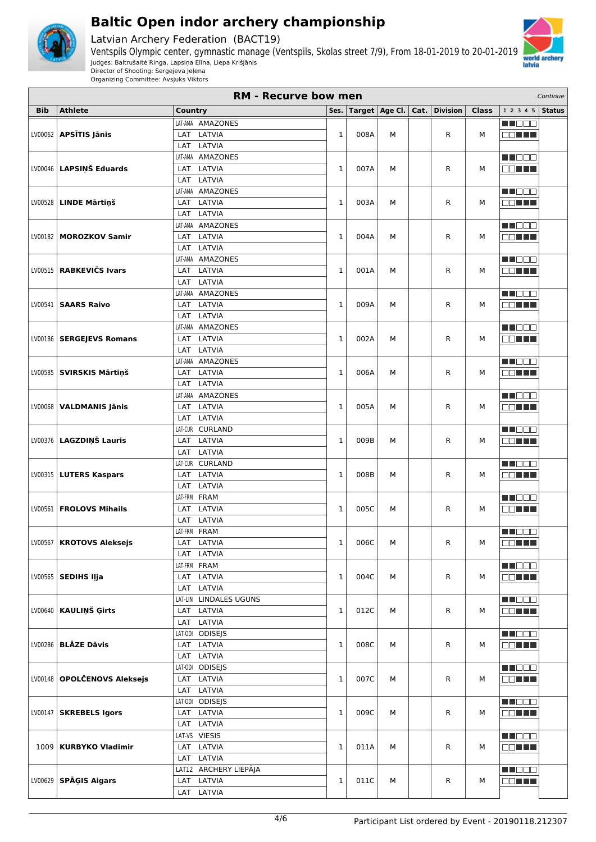

Latvian Archery Federation (BACT19)





| <b>RM - Recurve bow men</b><br>Continue |                               |                            |              |      |                |      |                 |              |                             |               |
|-----------------------------------------|-------------------------------|----------------------------|--------------|------|----------------|------|-----------------|--------------|-----------------------------|---------------|
| <b>Bib</b>                              | <b>Athlete</b>                | <b>Country</b>             | Ses.         |      | Target Age Cl. | Cat. | <b>Division</b> | <b>Class</b> | 1 2 3 4 5                   | <b>Status</b> |
|                                         |                               | LAT-AMA AMAZONES           |              |      |                |      |                 |              | MN 888                      |               |
| LV00062                                 | <b>APSĪTIS Jānis</b>          | LATVIA<br>LAT              | $\mathbf 1$  | 008A | М              |      | R               | М            | OO TITL                     |               |
|                                         |                               | LATVIA<br>LAT              |              |      |                |      |                 |              |                             |               |
|                                         |                               | AMAZONES<br>LAT-AMA        |              |      |                |      |                 |              | M DO O                      |               |
| LV00046                                 | LAPSIŅŠ Eduards               | LATVIA<br>LAT              | $\mathbf{1}$ | 007A | М              |      | R               | М            | e e l'Illi                  |               |
|                                         |                               | LATVIA<br>LAT              |              |      |                |      |                 |              |                             |               |
|                                         |                               | <b>AMAZONES</b><br>LAT-AMA |              |      |                |      |                 |              | M NO SO                     |               |
|                                         | LV00528   LINDE Mārtiņš       | LATVIA<br>LAT              | $\mathbf 1$  | 003A | М              |      | R               | М            | nn an L                     |               |
|                                         |                               | LATVIA<br><b>LAT</b>       |              |      |                |      |                 |              |                             |               |
|                                         |                               | AMAZONES<br>LAT-AMA        |              |      |                |      |                 |              | M NO SO                     |               |
| LV00182                                 | <b>MOROZKOV Samir</b>         | LATVIA<br>LAT              | $\mathbf{1}$ | 004A | м              |      | R               | М            | <b>RENTIN</b>               |               |
|                                         |                               | LATVIA<br>LAT              |              |      |                |      |                 |              |                             |               |
|                                         |                               | LAT-AMA AMAZONES           |              |      |                |      |                 |              | <u>maca</u>                 |               |
|                                         | LV00515 RABKEVIČS Ivars       | LATVIA<br>LAT              | $\mathbf{1}$ | 001A | М              |      | R               | М            | OO TITLE                    |               |
|                                         |                               | LATVIA<br>LAT              |              |      |                |      |                 |              |                             |               |
|                                         |                               | LAT-AMA<br><b>AMAZONES</b> |              |      |                |      |                 |              | <b>HEDDE</b>                |               |
|                                         | LV00541   SAARS Raivo         | LATVIA<br>LAT              | 1            | 009A | М              |      | R               | М            | <b>ODEE</b> T               |               |
|                                         |                               | LATVIA<br><b>LAT</b>       |              |      |                |      |                 |              |                             |               |
|                                         |                               | AMAZONES<br>LAT-AMA        |              |      |                |      |                 |              | M DOO                       |               |
|                                         | LV00186   SERGEJEVS Romans    | LATVIA<br>LAT              | $\mathbf 1$  | 002A | м              |      | R               | м            | 88 <b>88 88 88</b>          |               |
|                                         |                               | LAT<br>LATVIA              |              |      |                |      |                 |              |                             |               |
|                                         |                               | LAT-AMA AMAZONES           |              |      |                |      |                 |              | ME OO O                     |               |
|                                         | LV00585   SVIRSKIS Mārtinš    | LAT LATVIA                 | $\mathbf{1}$ | 006A | м              |      | R               | М            | OO TITLE                    |               |
|                                         |                               | LATVIA<br>LAT              |              |      |                |      |                 |              |                             |               |
|                                         |                               | <b>AMAZONES</b><br>LAT-AMA |              |      |                |      |                 |              | MU O O O                    |               |
|                                         | LV00068   VALDMANIS Jānis     | LATVIA<br>LAT              | 1            | 005A | М              |      | R               | М            | an na T                     |               |
|                                         |                               | LATVIA<br><b>LAT</b>       |              |      |                |      |                 |              |                             |               |
|                                         |                               | <b>CURLAND</b><br>LAT-CUR  |              |      |                |      |                 |              | <b>HILL</b>                 |               |
|                                         | LV00376   LAGZDIŅŠ Lauris     | LATVIA<br>LAT              | $\mathbf{1}$ | 009B | М              |      | R               | М            | 80 H H                      |               |
|                                         |                               | LATVIA<br>LAT              |              |      |                |      |                 |              |                             |               |
|                                         |                               | LAT-CUR CURLAND            |              |      |                |      |                 |              | M NO SO                     |               |
|                                         | LV00315   LUTERS Kaspars      | LAT LATVIA                 | $\mathbf{1}$ | 008B | М              |      | R               | М            | E E H                       |               |
|                                         |                               | LATVIA<br>LAT              |              |      |                |      |                 |              |                             |               |
|                                         |                               | LAT-FRM FRAM               |              |      |                |      |                 |              | <u>maca</u>                 |               |
|                                         | LV00561   FROLOVS Mihails     | LAT<br>LATVIA              | $\mathbf{1}$ | 005C | М              |      | R               | М            | <b>BBEEK</b>                |               |
|                                         |                               | LATVIA<br>LAT              |              |      |                |      |                 |              |                             |               |
|                                         |                               | LAT-FRM FRAM               |              |      |                |      |                 |              | <u>macao</u>                |               |
|                                         | LV00567   KROTOVS Aleksejs    | LAT<br>LATVIA              | 1            | 006C | м              |      | R               | М            | <b>DOLLA</b>                |               |
|                                         |                               | LAT LATVIA                 |              |      |                |      |                 |              |                             |               |
|                                         |                               | LAT-FRM FRAM               |              |      |                |      |                 |              | <b>HE</b> OOO               |               |
|                                         | $LV00565$ SEDIHS IIja         | LAT LATVIA                 | $\mathbf{1}$ | 004C | М              |      | R               | М            | <b>ODEE</b>                 |               |
|                                         |                               | LAT LATVIA                 |              |      |                |      |                 |              |                             |               |
|                                         |                               | LAT-LIN LINDALES UGUNS     |              |      |                |      |                 |              | M DOG                       |               |
|                                         | LV00640   KAULINŠ Girts       | LAT<br>LATVIA              | $\mathbf 1$  | 012C | м              |      | R               | М            | <b>OO HEL</b>               |               |
|                                         |                               | LAT<br>LATVIA              |              |      |                |      |                 |              |                             |               |
|                                         |                               | LAT-0DI ODISEJS            |              |      |                |      |                 |              | <b>RECE</b>                 |               |
|                                         | $LV00286$ BLAZE Davis         | LAT LATVIA                 | $\mathbf{1}$ | 008C | М              |      | R               | М            | 88 <b>88 88 88</b>          |               |
|                                         |                               | LAT LATVIA                 |              |      |                |      |                 |              |                             |               |
|                                         |                               | LAT-ODI ODISEJS            |              |      |                |      |                 |              | NH DE E                     |               |
|                                         | LV00148   OPOLČENOVS Aleksejs | LAT LATVIA                 | $\mathbf 1$  | 007C | М              |      | R               | М            | 88 E E E                    |               |
|                                         |                               | LAT LATVIA                 |              |      |                |      |                 |              |                             |               |
|                                         |                               | LAT-0DI ODISEJS            |              |      |                |      |                 |              | M DOO                       |               |
|                                         | LV00147 SKREBELS Igors        | LAT LATVIA                 | $\mathbf{1}$ | 009C | м              |      | R               | М            | 88 <b>88 88</b>             |               |
|                                         |                               | LAT LATVIA                 |              |      |                |      |                 |              |                             |               |
|                                         |                               | LAT-VS VIESIS              |              |      |                |      |                 |              | <b>RECE</b>                 |               |
|                                         | 1009   KURBYKO Vladimir       | LAT LATVIA                 | 1            | 011A | М              |      | R               | М            | <b>OO HEL</b>               |               |
|                                         |                               | LAT LATVIA                 |              |      |                |      |                 |              |                             |               |
|                                         |                               | LAT12 ARCHERY LIEPĀJA      |              |      |                |      |                 |              | M DE E                      |               |
|                                         | $LV00629$ SPAGIS Aigars       | LAT LATVIA                 | $\,1$        | 011C | М              |      | R               | М            | $\Box$ $\Box$ $\Box$ $\Box$ |               |
|                                         |                               | LAT LATVIA                 |              |      |                |      |                 |              |                             |               |
|                                         |                               |                            |              |      |                |      |                 |              |                             |               |

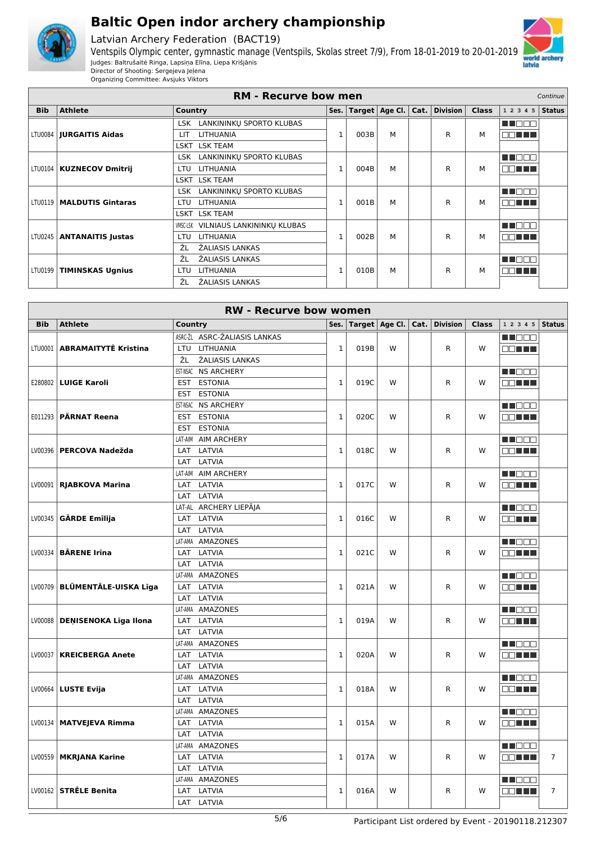

Latvian Archery Federation (BACT19)

Ventspils Olympic center, gymnastic manage (Ventspils, Skolas street 7/9), From 18-01-2019 to 20-01-2019 Judges: Baltrušaitė Ringa, Lapsiņa Elīna, Liepa Krišjānis Director of Shooting: Sergejeva Jeļena



|            | <b>RM - Recurve bow men</b><br>Continue<br>Ses.   Target   Age Cl.   Cat.   Division |                                        |              |      |   |   |   |              |                |               |
|------------|--------------------------------------------------------------------------------------|----------------------------------------|--------------|------|---|---|---|--------------|----------------|---------------|
| <b>Bib</b> | <b>Athlete</b>                                                                       | Country                                |              |      |   |   |   | <b>Class</b> | 1 2 3 4 5      | <b>Status</b> |
|            |                                                                                      | LSK LANKININKU SPORTO KLUBAS           |              |      |   |   |   |              | M DO 1         |               |
|            | LTU0084   <b>JURGAITIS Aidas</b>                                                     | <b>LITHUANIA</b><br>LIT                | $\mathbf{1}$ | 003B | M |   | R | м            | <b>DOMINIA</b> |               |
|            |                                                                                      | LSKT LSK TEAM                          |              |      |   |   |   |              |                |               |
|            |                                                                                      | LANKININKU SPORTO KLUBAS<br>LSK        |              |      |   |   |   |              | n de e         |               |
|            | LTU0104   KUZNECOV Dmitrij                                                           | LITHUANIA<br>LTU                       | $\mathbf{1}$ | 004B | M |   | R | м            | MA TITLE       |               |
|            |                                                                                      | LSKT LSK TEAM                          |              |      |   |   |   |              |                |               |
|            |                                                                                      | LANKININKU SPORTO KLUBAS<br>LSK        |              |      |   |   |   |              | n na Bibli     |               |
|            | LTU0119   MALDUTIS Gintaras                                                          | <b>LITHUANIA</b><br>LTU                | 1            | 001B | M |   | R | м            | MA TITLE       |               |
|            |                                                                                      | LSKT LSK TEAM                          |              |      |   |   |   |              |                |               |
|            |                                                                                      | VILNIAUS LANKININKU KLUBAS<br>VMSC-LSK |              |      |   |   |   |              | M BER          |               |
|            | LTU0245   ANTANAITIS Justas                                                          | <b>LITHUANIA</b><br>LTU                | 1            | 002B | M |   | R | м            | 30 D D D       |               |
|            |                                                                                      | ŽL<br>ŽALIASIS LANKAS                  |              |      |   |   |   |              |                |               |
|            |                                                                                      | ŽL<br>ŽALIASIS LANKAS                  |              |      |   |   |   |              | M DO O         |               |
|            | LTU0199   TIMINSKAS Ugnius                                                           | <b>LITHUANIA</b><br>LTU                | $\mathbf{1}$ | 010B | M | R |   | М            | an na m        |               |
|            |                                                                                      | ŽL<br>ŽALIASIS LANKAS                  |              |      |   |   |   |              |                |               |

|         | <b>RW - Recurve bow women</b><br>Target $ $ Age Cl. $ $ Cat. $ $ Division<br>$12345$ Status<br><b>Bib</b><br><b>Athlete</b><br>Country<br>Ses.<br><b>Class</b> |                              |              |      |   |  |              |   |               |                |  |  |
|---------|----------------------------------------------------------------------------------------------------------------------------------------------------------------|------------------------------|--------------|------|---|--|--------------|---|---------------|----------------|--|--|
|         |                                                                                                                                                                |                              |              |      |   |  |              |   |               |                |  |  |
|         |                                                                                                                                                                | ASRC-ŽL ASRC-ŽALIASIS LANKAS |              |      |   |  |              |   | MT OO O       |                |  |  |
| LTU0001 | <b>ABRAMAITYTE Kristina</b>                                                                                                                                    | <b>LITHUANIA</b><br>LTU      | $\mathbf{1}$ | 019B | W |  | $\mathsf{R}$ | W | 88 H H        |                |  |  |
|         |                                                                                                                                                                | ŽL<br>ŽALIASIS LANKAS        |              |      |   |  |              |   |               |                |  |  |
|         |                                                                                                                                                                | EST-NSAC NS ARCHERY          |              |      |   |  |              |   | M M M M M     |                |  |  |
|         | <b>E280802   LUIGE Karoli</b>                                                                                                                                  | <b>ESTONIA</b><br><b>EST</b> | $\mathbf{1}$ | 019C | W |  | R            | W | 88 E E E      |                |  |  |
|         |                                                                                                                                                                | <b>ESTONIA</b><br>EST        |              |      |   |  |              |   |               |                |  |  |
|         |                                                                                                                                                                | EST-NSAC NS ARCHERY          |              |      |   |  |              |   | M DO O        |                |  |  |
|         | E011293   PÄRNAT Reena                                                                                                                                         | EST ESTONIA                  | $\mathbf{1}$ | 020C | W |  | $\mathsf{R}$ | W | OO TITL       |                |  |  |
|         |                                                                                                                                                                | <b>ESTONIA</b><br><b>EST</b> |              |      |   |  |              |   |               |                |  |  |
|         |                                                                                                                                                                | LAT-AIM AIM ARCHERY          |              |      |   |  |              |   | M NOOO        |                |  |  |
|         | LV00396   PERCOVA Nadežda                                                                                                                                      | LAT LATVIA                   | $\mathbf{1}$ | 018C | W |  | R            | W | <b>RON EN</b> |                |  |  |
|         |                                                                                                                                                                | LATVIA<br>LAT                |              |      |   |  |              |   |               |                |  |  |
|         |                                                                                                                                                                | LAT-AIM AIM ARCHERY          |              |      |   |  |              |   | M NO OO       |                |  |  |
|         | LV00091   RJABKOVA Marina                                                                                                                                      | LAT LATVIA                   | $\mathbf{1}$ | 017C | W |  | $\mathsf{R}$ | W | aa min        |                |  |  |
|         |                                                                                                                                                                | LATVIA<br>LAT                |              |      |   |  |              |   |               |                |  |  |
|         |                                                                                                                                                                | LAT-AL ARCHERY LIEPĀJA       |              |      |   |  |              |   | M NO B O      |                |  |  |
|         | $LV00345$ GARDE Emilija                                                                                                                                        | LAT LATVIA                   | $\mathbf 1$  | 016C | W |  | R            | W | OO TITI       |                |  |  |
|         |                                                                                                                                                                | LATVIA<br>LAT                |              |      |   |  |              |   |               |                |  |  |
|         |                                                                                                                                                                | LAT-AMA AMAZONES             |              |      |   |  |              |   | <b>RECODE</b> |                |  |  |
|         | $LV00334$ BARENE Irina                                                                                                                                         | LAT LATVIA                   | $\mathbf{1}$ | 021C | W |  | $\mathsf{R}$ | W | OO TITL       |                |  |  |
|         |                                                                                                                                                                | LATVIA<br>LAT                |              |      |   |  |              |   |               |                |  |  |
|         |                                                                                                                                                                | LAT-AMA AMAZONES             |              |      |   |  |              |   | MN 888        |                |  |  |
|         | LV00709   BLŪMENTĀLE-UISKA Līga                                                                                                                                | LAT LATVIA                   | $\mathbf 1$  | 021A | W |  | $\mathsf{R}$ | W | 80 H H        |                |  |  |
|         |                                                                                                                                                                | LATVIA<br>LAT                |              |      |   |  |              |   |               |                |  |  |
|         |                                                                                                                                                                | LAT-AMA AMAZONES             |              |      |   |  |              |   | M NOOC        |                |  |  |
|         | LV00088   DENISENOKA Līga Ilona                                                                                                                                | LAT LATVIA                   | $\mathbf{1}$ | 019A | W |  | $\mathsf{R}$ | W | 88 H H        |                |  |  |
|         |                                                                                                                                                                | LAT LATVIA                   |              |      |   |  |              |   |               |                |  |  |
|         |                                                                                                                                                                | LAT-AMA AMAZONES             |              |      |   |  |              |   | M NO OO       |                |  |  |
|         | LV00037   KREICBERGA Anete                                                                                                                                     | LAT LATVIA                   | $\mathbf{1}$ | 020A | W |  | $\mathsf{R}$ | W | OO HELL       |                |  |  |
|         |                                                                                                                                                                | LATVIA<br>LAT                |              |      |   |  |              |   |               |                |  |  |
|         |                                                                                                                                                                | LAT-AMA AMAZONES             |              |      |   |  |              |   | M NOOC        |                |  |  |
|         | $LV00664$   LUSTE Evija                                                                                                                                        | LAT LATVIA                   | $\mathbf{1}$ | 018A | W |  | R            | W | OO HEE        |                |  |  |
|         |                                                                                                                                                                | LATVIA<br>LAT                |              |      |   |  |              |   |               |                |  |  |
|         |                                                                                                                                                                | LAT-AMA AMAZONES             |              |      |   |  |              |   | <b>RECOR</b>  |                |  |  |
|         | LV00134   MATVEJEVA Rimma                                                                                                                                      | LAT LATVIA                   | $\mathbf{1}$ | 015A | W |  | $\mathsf{R}$ | W | OO HEL        |                |  |  |
|         |                                                                                                                                                                | LAT<br>LATVIA                |              |      |   |  |              |   |               |                |  |  |
|         |                                                                                                                                                                | LAT-AMA AMAZONES             |              |      |   |  |              |   | M NOOC        |                |  |  |
|         | LV00559   MKRJANA Karine                                                                                                                                       | LAT LATVIA                   | $\mathbf{1}$ | 017A | W |  | R            | W | MA TITULI     | $\overline{7}$ |  |  |
|         |                                                                                                                                                                | LAT LATVIA                   |              |      |   |  |              |   |               |                |  |  |
|         |                                                                                                                                                                | LAT-AMA AMAZONES             |              |      |   |  |              |   | M NOCH        |                |  |  |
|         | $LV00162$ STRELE Benita                                                                                                                                        | LAT LATVIA                   | $\mathbf{1}$ | 016A | W |  | $\mathsf{R}$ | W | man in B      | $\overline{7}$ |  |  |
|         |                                                                                                                                                                | LAT LATVIA                   |              |      |   |  |              |   |               |                |  |  |